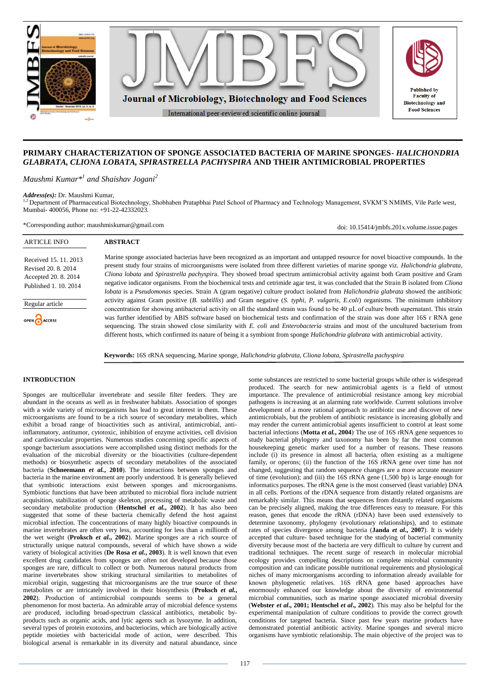

# **PRIMARY CHARACTERIZATION OF SPONGE ASSOCIATED BACTERIA OF MARINE SPONGES-** *HALICHONDRIA GLABRATA, CLIONA LOBATA, SPIRASTRELLA PACHYSPIRA* **AND THEIR ANTIMICROBIAL PROPERTIES**

*Maushmi Kumar\*<sup>1</sup> and Shaishav Jogani<sup>2</sup>*

*Address(es):* Dr. Maushmi Kumar,

<sup>2</sup> Department of Pharmaceutical Biotechnology, Shobhaben Pratapbhai Patel School of Pharmacy and Technology Management, SVKM'S NMIMS, Vile Parle west, Mumbai- 400056, Phone no: +91-22-42332023.

\*Corresponding author: maushmiskumar@gmail.com

**ABSTRACT**

doi: 10.15414/jmbfs.201x.volume.issue.pages

Received 15. 11. 2013 Revised 20. 8. 2014 Accepted 20. 8. 2014 Published 1. 10. 2014

ARTICLE INFO

Regular article

**CA** ACCESS

Marine sponge associated bacterias have been recognized as an important and untapped resource for novel bioactive compounds. In the present study four strains of microorganisms were isolated from three different varieties of marine sponge viz. *Halichondria glabrata*, *Cliona lobata* and *Spirastrella pachyspir*a. They showed broad spectrum antimicrobial activity against both Gram positive and Gram negative indicator organisms. From the biochemical tests and cetrimide agar test, it was concluded that the Strain B isolated from *Cliona lobata* is a *Pseudomonas* species. Strain A (gram negative) culture product isolated from *Halichondria glabrata* showed the antibiotic activity against Gram positive (*B. subtillis*) and Gram negative (*S. typhi, P. vulgaris, E.coli*) organisms. The minimum inhibitory concentration for showing antibacterial activity on all the standard strain was found to be 40 µL of culture broth supernatant. This strain was further identified by ABIS software based on biochemical tests and confirmation of the strain was done after 16S r RNA gene sequencing. The strain showed close similarity with *E. coli* and *Enterobacteria* strains and most of the uncultured bacterium from different hosts, which confirmed its nature of being it a symbiont from sponge *Halichondria glabrata* with antimicrobial activity.

**Keywords:** 16S rRNA sequencing, Marine sponge, *Halichondria glabrata, Cliona lobata, Spirastrella pachyspira*

# **INTRODUCTION**

Sponges are multicellular invertebrate and sessile filter feeders. They are abundant in the oceans as well as in freshwater habitats. Association of sponges with a wide variety of microorganisms has lead to great interest in them. These microorganisms are found to be a rich source of secondary metabolites, which exhibit a broad range of bioactivities such as antiviral, antimicrobial, antiinflammatory, antitumor, cytotoxic, inhibition of enzyme activities, cell division and cardiovascular properties. Numerous studies concerning specific aspects of sponge bacterium associations were accomplished using distinct methods for the evaluation of the microbial diversity or the bioactivities (culture-dependent methods) or biosynthetic aspects of secondary metabolites of the associated bacteria (**Schneemann** *et al.***, 2010**). The interactions between sponges and bacteria in the marine environment are poorly understood. It is generally believed that symbiotic interactions exist between sponges and microorganisms. Symbiotic functions that have been attributed to microbial flora include nutrient acquisition, stabilization of sponge skeleton, processing of metabolic waste and secondary metabolite production (**Hentschel** *et al.***, 2002**). It has also been suggested that some of these bacteria chemically defend the host against microbial infection. The concentrations of many highly bioactive compounds in marine invertebrates are often very less, accounting for less than a millionth of the wet weight (**Proksch** *et al.***, 2002**). Marine sponges are a rich source of structurally unique natural compounds, several of which have shown a wide variety of biological activities (**De Rosa** *et al.***, 2003**). It is well known that even excellent drug candidates from sponges are often not developed because those sponges are rare, difficult to collect or both. Numerous natural products from marine invertebrates show striking structural similarities to metabolites of microbial origin, suggesting that microorganisms are the true source of these metabolites or are intricately involved in their biosynthesis (**Proksch** *et al.***, 2002**). Production of antimicrobial compounds seems to be a general phenomenon for most bacteria. An admirable array of microbial defence systems are produced, including broad-spectrum classical antibiotics, metabolic byproducts such as organic acids, and lytic agents such as lysozyme. In addition, several types of protein exotoxins, and bacteriocins, which are biologically active peptide moieties with bactericidal mode of action, were described. This biological arsenal is remarkable in its diversity and natural abundance, since

some substances are restricted to some bacterial groups while other is widespread produced. The search for new antimicrobial agents is a field of utmost importance. The prevalence of antimicrobial resistance among key microbial pathogens is increasing at an alarming rate worldwide. Current solutions involve development of a more rational approach to antibiotic use and discover of new antimicrobials, but the problem of antibiotic resistance is increasing globally and may render the current antimicrobial agents insufficient to control at least some bacterial infections (**Motta** *et al.***, 2004**) . The use of 16S rRNA gene sequences to study bacterial phylogeny and taxonomy has been by far the most common housekeeping genetic marker used for a number of reasons. These reasons include (i) its presence in almost all bacteria, often existing as a multigene family, or operons; (ii) the function of the 16S rRNA gene over time has not changed, suggesting that random sequence changes are a more accurate measure of time (evolution); and (iii) the 16S rRNA gene (1,500 bp) is large enough for informatics purposes. The rRNA gene is the most conserved (least variable) DNA in all cells. Portions of the rDNA sequence from distantly related organisms are remarkably similar. This means that sequences from distantly related organisms can be precisely aligned, making the true differences easy to measure. For this reason, genes that encode the rRNA (rDNA) have been used extensively to determine taxonomy, phylogeny (evolutionary relationships), and to estimate rates of species divergence among bacteria (**Janda** *et al***., 2007**). It is widely accepted that culture- based technique for the studying of bacterial community diversity because most of the bacteria are very difficult to culture by current and traditional techniques. The recent surge of research in molecular microbial ecology provides compelling descriptions on complete microbial community composition and can indicate possible nutritional requirements and physiological niches of many microorganisms according to information already available for known phylogenetic relatives. 16S rRNA gene based approaches have enormously enhanced our knowledge about the diversity of environmental microbial communities, such as marine sponge associated microbial diversity (**Webster** *et al***., 2001; Hentschel** *et al***., 2002**). This may also be helpful for the experimental manipulation of culture conditions to provide the correct growth conditions for targeted bacteria. Since past few years marine products have demonstrated potential antibiotic activity. Marine sponges and several micro organisms have symbiotic relationship. The main objective of the project was to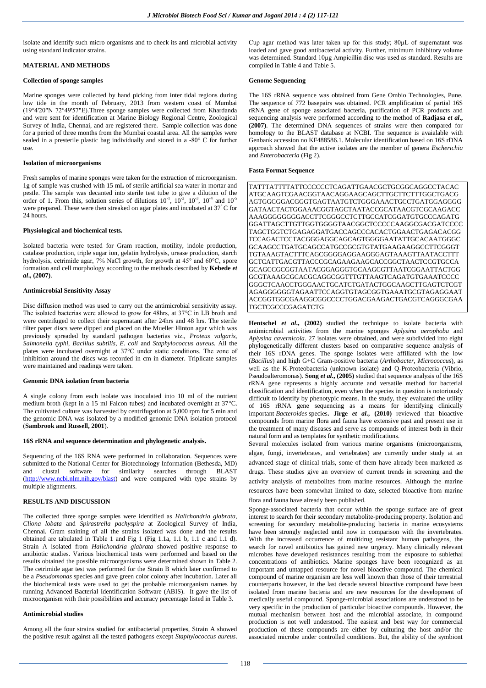isolate and identify such micro organisms and to check its anti microbial activity using standard indicator strains.

# **MATERIAL AND METHODS**

# **Collection of sponge samples**

Marine sponges were collected by hand picking from inter tidal regions during low tide in the month of February, 2013 from western coast of Mumbai (19°4'20"N 72°49'57"E).Three sponge samples were collected from Khardanda and were sent for identification at Marine Biology Regional Centre, Zoological Survey of India, Chennai, and are registered there. Sample collection was done for a period of three months from the Mumbai coastal area. All the samples were sealed in a presterile plastic bag individually and stored in a -80° C for further use.

### **Isolation of microorganisms**

Fresh samples of marine sponges were taken for the extraction of microorganism. 1g of sample was crushed with 15 mL of sterile artificial sea water in mortar and pestle. The sample was decanted into sterile test tube to give a dilution of the order of 1. From this, solution series of dilutions  $10^{-1}$ ,  $10^{-2}$ ,  $10^{-3}$ ,  $10^{-4}$  and  $10^{-5}$ were prepared. These were then streaked on agar plates and incubated at 37° C for 24 hours.

### **Physiological and biochemical tests***.*

Isolated bacteria were tested for Gram reaction, motility, indole production, catalase production, triple sugar ion, gelatin hydrolysis, urease production, starch hydrolysis, cetrimide agar, 7% NaCl growth, for growth at 45° and 60°C, spore formation and cell morphology according to the methods described by **Kebede** *et al***., (2007)**.

## **Antimicrobial Sensitivity Assay**

Disc diffusion method was used to carry out the antimicrobial sensitivity assay. The isolated bacterias were allowed to grow for 48hrs, at 37°C in LB broth and were centrifuged to collect their supernatant after 24hrs and 48 hrs. The sterile filter paper discs were dipped and placed on the Mueller Hinton agar which was previously spreaded by standard pathogen bacterias viz., *Proteus vulgaris, Salmonella typhi, Bacillus subtilis, E. coli* and *Staphylococcus aureus.* All the plates were incubated overnight at 37°C under static conditions. The zone of inhibition around the discs was recorded in cm in diameter. Triplicate samples were maintained and readings were taken.

## **Genomic DNA isolation from bacteria**

A single colony from each isolate was inoculated into 10 ml of the nutrient medium broth (kept in a 15 ml Falcon tubes) and incubated overnight at 37°C. The cultivated culture was harvested by centrifugation at 5,000 rpm for 5 min and the genomic DNA was isolated by a modified genomic DNA isolation protocol (**Sambrook and Russell, 2001**).

#### **16S rRNA and sequence determination and phylogenetic analysis.**

Sequencing of the 16S RNA were performed in collaboration. Sequences were submitted to the National Center for Biotechnology Information (Bethesda, MD) and clustal software for similarity searches through BLAST [\(http://www.ncbi.nlm.nih.gov/blast\)](http://www.ncbi.nlm.nih.gov/blast) and were compared with type strains by multiple alignments.

### **RESULTS AND DISCUSSION**

The collected three sponge samples were identified as *Halichondria glabrata, Cliona lobata* and *Spirastrella pachyspira* at Zoological Survey of India, Chennai*.* Gram staining of all the strains isolated was done and the results obtained are tabulated in Table 1 and Fig 1 (Fig 1.1a, 1.1 b, 1.1 c and 1.1 d). Strain A isolated from *Halichondria glabrata* showed positive response to antibiotic studies. Various biochemical tests were performed and based on the results obtained the possible microorganisms were determined shown in Table 2. The cetrimide agar test was performed for the Strain B which later confirmed to be a *Pseudomonas* species and gave green color colony after incubation. Later all the biochemical tests were used to get the probable microorganism names by running Advanced Bacterial Identification Software (ABIS). It gave the list of microorganism with their possibilities and accuracy percentage listed in Table 3.

### **Antimicrobial studies**

Among all the four strains studied for antibacterial properties, Strain A showed the positive result against all the tested pathogens except *Staphylococcus aureus*. Cup agar method was later taken up for this study; 80µL of supernatant was loaded and gave good antibacterial activity. Further, minimum inhibitory volume was determined. Standard 10µg Ampicillin disc was used as standard. Results are compiled in Table 4 and Table 5.

### **Genome Sequencing**

The 16S rRNA sequence was obtained from Gene Ombio Technologies, Pune. The sequence of 772 basepairs was obtained. PCR amplification of partial 16S rRNA gene of sponge associated bacteria, purification of PCR products and sequencing analysis were performed according to the method of **Radjasa** *et al***., (2007)**. The determined DNA sequences of strains were then compared for homology to the BLAST database at NCBI. The sequence is avaialable with Genbank accession no KF488586.1. Molecular identification based on 16S rDNA approach showed that the active isolates are the member of genera *Escherichia*  and *Enterobacteria* (Fig 2).

# **Fasta Format Sequence**

TATTTATTTTATTCCCCCCTCAGATTGAACGCTGCGGCAGGCCTACAC ATGCAAGTCGAACGGTAACAGGAAGCAGCTTGCTTCTTTGGCTGACG AGTGGCGGACGGGTGAGTAATGTCTGGGAAACTGCCTGATGGAGGGG GATAACTACTGGAAACGGTAGCTAATACCGCATAACGTCGCAAGACC AAAGGGGGGGGACCTTCGGGCCTCTTGCCATCGGATGTGCCCAGATG GGATTAGCTTGTTGGTGGGGTAACGGCTCCCCCAAGGCGACGATCCCC TAGCTGGTCTGAGAGGATGACCAGCCCACACTGGAACTGAGACACGG TCCAGACTCCTACGGGAGGCAGCAGTGGGGAATATTGCACAATGGGC GCAAGCCTGATGCAGCCATGCCGCGTGTATGAAGAAGGCCTTCGGGT TGTAAAGTACTTTCAGCGGGGAGGAAGGGAGTAAAGTTAATACCTTT GCTCATTGACGTTACCCGCAGAAGAAGCACCGGCTAACTCCGTGCCA GCAGCCGCGGTAATACGGAGGGTGCAAGCGTTAATCGGAATTACTGG GCGTAAAGCGCACGCAGGCGGTTTGTTAAGTCAGATGTGAAATCCCC GGGCTCAACCTGGGAACTGCATCTGATACTGGCAAGCTTGAGTCTCGT AGAGGGGGGTAGAATTCCAGGTGTAGCGGTGAAATGCGTAGAGGAAT ACCGGTGGCGAAGGCGGCCCCTGGACGAAGACTGACGTCAGGGCGAA TGCTCGCCCGAGATCTG

**Hentschel** *et al***., (2002)** studied the technique to isolate bacteria with antimicrobial activities from the marine sponges *Aplysina aerophoba* and *Aplysina cavernicola*. 27 isolates were obtained, and were subdivided into eight phylogenetically different clusters based on comparative sequence analysis of their 16S rDNA genes. The sponge isolates were affiliated with the low (*Bacillus*) and high G+C Gram-positive bacteria (*Arthobacter, Micrococcus*), as well as the K-Proteobacteria (unknown isolate) and Q-Proteobacteria (Vibrio, Pseudoalteromonas). **Song** *et al***., (2005)** studied that sequence analysis of the 16S rRNA gene represents a highly accurate and versatile method for bacterial classification and identification, even when the species in question is notoriously difficult to identify by phenotypic means. In the study, they evaluated the utility of 16S rRNA gene sequencing as a means for identifying clinically important *Bacteroides* species**. Jirge** *et al***., (2010)** reviewed that bioactive compounds from marine flora and fauna have extensive past and present use in the treatment of many diseases and serve as compounds of interest both in their natural form and as templates for synthetic modifications.

Several molecules isolated from various marine organisms (microorganisms, algae, fungi, invertebrates, and vertebrates) are currently under study at an advanced stage of clinical trials, some of them have already been marketed as drugs. These studies give an overview of current trends in screening and the activity analysis of metabolites from marine resources. Although the marine resources have been somewhat limited to date, selected bioactive from marine flora and fauna have already been published.

Sponge-associated bacteria that occur within the sponge surface are of great interest to search for their secondary metabolite-producing property. Isolation and screening for secondary metabolite-producing bacteria in marine ecosystems have been strongly neglected until now in comparison with the invertebrates. With the increased occurrence of multidrug resistant human pathogens, the search for novel antibiotics has gained new urgency. Many clinically relevant microbes have developed resistances resulting from the exposure to sublethal concentrations of antibiotics. Marine sponges have been recognized as an important and untapped resource for novel bioactive compound. The chemical compound of marine organism are less well known than those of their terrestrial counterparts however, in the last decade several bioactive compound have been isolated from marine bacteria and are new resources for the development of medically useful compound. Sponge-microbial associations are understood to be very specific in the production of particular bioactive compounds. However, the mutual mechanism between host and the microbial associate, in compound production is not well understood. The easiest and best way for commercial production of these compounds are either by culturing the host and/or the associated microbe under controlled conditions. But, the ability of the symbiont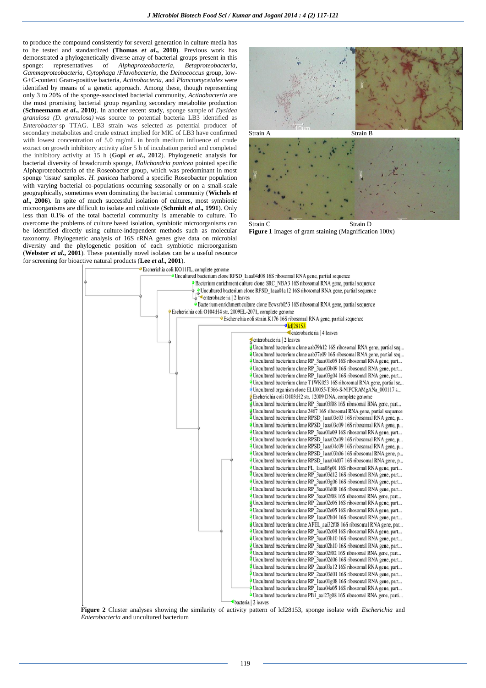to produce the compound consistently for several generation in culture media has to be tested and standardized **(Thomas** *et al***., 2010**). Previous work has demonstrated a phylogenetically diverse array of bacterial groups present in this sponge: representatives of *Alphaproteobacteria*, *Betaproteobacteria*, *Gammaproteobacteria*, *Cytophaga* /*Flavobacteria*, the *Deinococcus* group, low-G+C-content Gram-positive bacteria, *Actinobacteria*, and *Planctomycetales* were identified by means of a genetic approach. Among these, though representing only 3 to 20% of the sponge-associated bacterial community, *Actinobacteria* are the most promising bacterial group regarding secondary metabolite production (**Schneemann** *et al***., 2010**). In another recent study, sponge sample of *Dysidea granulosa (D. granulosa)* was source to potential bacteria LB3 identified as *Enterobacter* sp TTAG. LB3 strain was selected as potential producer of secondary metabolites and crude extract implied for MIC of LB3 have confirmed with lowest concentration of 5.0 mg/mL in broth medium influence of crude extract on growth inhibitory activity after 5 h of incubation period and completed the inhibitory activity at 15 h (**Gopi** *et al***., 2012**). Phylogenetic analysis for bacterial diversity of breadcrumb sponge, *Halichondria panicea* pointed specific Alphaproteobacteria of the Roseobacter group, which was predominant in most sponge 'tissue' samples. *H. panicea* harbored a specific Roseobacter population with varying bacterial co-populations occurring seasonally or on a small-scale geographically, sometimes even dominating the bacterial community (**Wichels** *et al***., 2006**). In spite of much successful isolation of cultures, most symbiotic microorganisms are difficult to isolate and cultivate (**Schmidt** *et al***., 1991**). Only less than 0.1% of the total bacterial community is amenable to culture. To overcome the problems of culture based isolation, symbiotic microorganisms can be identified directly using culture-independent methods such as molecular taxonomy. Phylogenetic analysis of 16S rRNA genes give data on microbial diversity and the phylogenetic position of each symbiotic microorganism (**Webster** *et al***., 2001**). These potentially novel isolates can be a useful resource for screening for bioactive natural products (**Lee** *et al***., 2001**).



Strain C Strain D **Figure 1** Images of gram staining (Magnification 100x)



**Figure 2** Cluster analyses showing the similarity of activity pattern of lcl28153, sponge isolate with *Escherichia* and *Enterobacteria* and uncultured bacterium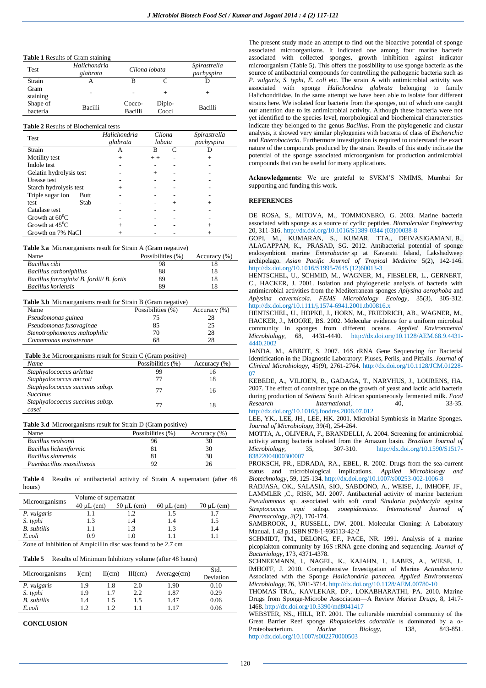**Table 1** Results of Gram staining

| Test                 | Halichondria<br>glabrata | Cliona lobata     |                 | Spirastrella<br>pachyspira |
|----------------------|--------------------------|-------------------|-----------------|----------------------------|
| Strain               | А                        |                   |                 |                            |
| Gram<br>staining     |                          |                   |                 |                            |
| Shape of<br>bacteria | Bacilli                  | Cocco-<br>Bacilli | Diplo-<br>Cocci | Bacilli                    |

#### **Table 2** Results of Biochemical tests

| <b>Test</b>              |      | Halichondria<br>glabrata | Cliona<br>lobata |        | Spirastrella<br>pachyspira |
|--------------------------|------|--------------------------|------------------|--------|----------------------------|
| Strain                   |      | А                        | в                | C      |                            |
| Motility test            |      | $^{+}$                   | $+ +$            |        | $^{+}$                     |
| Indole test              |      |                          |                  |        |                            |
| Gelatin hydrolysis test  |      |                          | $\overline{+}$   |        |                            |
| Urease test              |      |                          |                  |        |                            |
| Starch hydrolysis test   |      | $\overline{+}$           |                  |        |                            |
| Triple sugar ion         | Butt |                          |                  |        |                            |
| test                     | Stab |                          |                  | $^{+}$ |                            |
| Catalase test            |      |                          |                  |        |                            |
| Growth at $60^0C$        |      |                          |                  |        |                            |
| Growth at $45^{\circ}$ C |      | $^+$                     |                  |        |                            |
| Growth on 7% NaCl        |      |                          |                  |        |                            |

#### **Table 3.a** Microorganisms result for Strain A (Gram negative)

| Name                                      | Possibilities (%) | Accuracy $(\% )$ |
|-------------------------------------------|-------------------|------------------|
| Bacillus cibi                             | 98                |                  |
| Bacillus carboniphilus                    | 88                | 18               |
| Bacillus farraginis/ B. fordii/ B. fortis | 89                | 18               |
| Bacillus korlensis                        | 89                | 18               |

#### **Table 3.b** Microorganisms result for Strain B (Gram negative)

| Name                         | Possibilities (%) | Accuracy (%) |
|------------------------------|-------------------|--------------|
| Pseudomonas guinea           | 75                | 28           |
| Pseudomonas fusovaginae      | 85                | 25           |
| Stenotrophomonas maltophilic | 70                | 28           |
| Comamonas testosterone       | 68                | 28           |

**Table 3.c** Microorganisms result for Strain C (Gram positive)

| Name                                               | Possibilities (%) | Accuracy (%) |
|----------------------------------------------------|-------------------|--------------|
| Staphyalococcus arlettae                           | 99                | 16           |
| Staphyalococcus microti                            | 77                | 18           |
| Staphyalococcus succinus subsp.<br><i>Succinus</i> | 77                | 16           |
| Staphyalococcus succinus subsp.<br>casei           | 77                |              |

## **Table 3.d** Microorganisms result for Strain D (Gram positive)

| Name                      | Possibilities (%) | Accuracy (%) |
|---------------------------|-------------------|--------------|
| Bacillus nealsonii        | 96                | 30           |
| Bacillus licheniformic    | 81                | 30           |
| Bacillus siamensis        | 81                | 30           |
| Paenbacillus massilionsis | 92                | 26           |

**Table 4** Results of antibacterial activity of Strain A supernatant (after 48 hours)

|                    | Volume of supernatant              |                  |                 |                 |  |  |
|--------------------|------------------------------------|------------------|-----------------|-----------------|--|--|
| Microorganisms     | $40 \mu L$ (cm)<br>$50 \mu L$ (cm) |                  | $60 \mu L$ (cm) | $70 \mu L$ (cm) |  |  |
| P. vulgaris        |                                    | $\cdot$ .2       | 1.5             |                 |  |  |
| S. typhi           | 1.3                                | 1.4              | 1.4             | 1.5             |  |  |
| <b>B.</b> subtilis | 1.1                                | 1.3              | 1.3             | 1.4             |  |  |
| E.coli             | 09                                 | LO.              |                 |                 |  |  |
| .<br>$\sim$        | $\sim$ $\sim$<br>.                 | $\sim$<br>$\sim$ | .               |                 |  |  |

Zone of Inhibition of Ampicillin disc was found to be 2.7 cm

## **Table 5** Results of Minimum Inhibitory volume (after 48 hours)

| Microorganisms     | I(cm) | II(cm) | $III$ (cm) | $Average$ (cm) | Std.<br>Deviation |
|--------------------|-------|--------|------------|----------------|-------------------|
| P. vulgaris        | 1.9   | 1.8    | 2.0        | 1.90           | 0.10              |
| S. typhi           | 1.9   |        | 2.2        | 1.87           | 0.29              |
| <b>B.</b> subtilis | 1.4   | 1.5    | 1.5        | 1.47           | 0.06              |
| E.coli             |       | 1.2    |            | 1.17           | 0.06              |

**CONCLUSION**

The present study made an attempt to find out the bioactive potential of sponge associated microorganisms. It indicated one among four marine bacteria associated with collected sponges, growth inhibition against indicator microorganism (Table 5). This offers the possibility to use sponge bacteria as the source of antibacterial compounds for controlling the pathogenic bacteria such as *P. vulgaris*, *S. typhi, E. coli* etc. The strain A with antimicrobial activity was associated with sponge *Halichondria glabrata* belonging to family Halichondriidae. In the same attempt we have been able to isolate four different strains here. We isolated four bacteria from the sponges, out of which one caught our attention due to its antimicrobial activity. Although these bacteria were not yet identified to the species level, morphological and biochemical characteristics indicate they belonged to the genus *Bacillus*. From the phylogenetic and clustar analysis, it showed very similar phylogenies with bacteria of class of *Escherichia* and *Enterobacteria*. Furthermore investigation is required to understand the exact nature of the compounds produced by the strain. Results of this study indicate the potential of the sponge associated microorganism for production antimicrobial compounds that can be useful for many applications.

**Acknowledgments:** We are grateful to SVKM'S NMIMS, Mumbai for supporting and funding this work.

### **REFERENCES**

DE ROSA, S., MITOVA, M., TOMMONERO, G. 2003. Marine bacteria associated with sponge as a source of cyclic peptides. *Biomolecular Engineering* 20, 311-316. http://dx.doi.org/10.1016/S1389-0344 (03)00038-8

[GOPI,](http://www.sciencedirect.com/science/article/pii/S1995764512600133) M., KUMARAN, [S., KUMAR,](http://www.sciencedirect.com/science/article/pii/S1995764512600133) TTA., [DEIVASIGAMANI,](http://www.sciencedirect.com/science/article/pii/S1995764512600133) B.[,](http://www.sciencedirect.com/science/article/pii/S1995764512600133) [ALAGAPPAN,](http://www.sciencedirect.com/science/article/pii/S1995764512600133) K., [PRASAD,](http://www.sciencedirect.com/science/article/pii/S1995764512600133) SG. 2012. Antibacterial potential of sponge endosymbiont marine *Enterobacter* sp at Kavaratti Island, Lakshadweep archipelago. *Asian Pacific Journal of Tropical Medicine* 5(2), 142-146. http://dx.doi.org/10.1016/S1995-7645 (12)60013-3

HENTSCHEL, U., SCHMID, M., WAGNER, M., FIESELER, L., GERNERT, C., HACKER, J. 2001. Isolation and phylogenetic analysis of bacteria with antimicrobial activities from the Mediterranean sponges *Aplysina aerophoba* and *Aplysina cavernicola. FEMS Microbiology Ecology,* 35(3), 305-312. http://dx.doi.org/10.1111/j.1574-6941.2001.tb00816.x

HENTSCHEL, U., HOPKE, J., HORN, M., FRIEDRICH, AB., WAGNER, M., HACKER, J., MOORE, BS. 2002. Molecular evidence for a uniform microbial community in sponges from different oceans. *Applied Environmental Microbiology,* 68, 4431-4440. http://dx.doi.org/10.1128/AEM.68.9.4431- 4440.2002

JANDA, M., ABBOT, S. 2007. 16S rRNA Gene Sequencing for Bacterial Identification in the Diagnostic Laboratory: Pluses, Perils, and Pitfalls*. Journal of Clinical Microbiology,* 45(9), 2761-2764. http://dx.doi.or[g/10.1128/JCM.01228-](http://dx.doi.org/10.1128%2FJCM.01228-07) [07](http://dx.doi.org/10.1128%2FJCM.01228-07)<sup>1</sup>

KEBEDE, A., VILJOEN, B., GADAGA, T., NARVHUS, J., LOURENS, HA. 2007. The effect of container type on the growth of yeast and lactic acid bacteria during production of *Sethemi* South African spontaneously fermented milk. *Food Research International,* 40, 33-35. http://dx.doi.org/10.1016/j.foodres.2006.07.012

LEE, YK., LEE, JH., LEE, HK. 2001. Microbial Symbiosis in Marine Sponges. *Journal of Microbiology,* 39(4), 254-264.

MOTTA, A., OLIVERA, F., BRANDELLI, A. 2004. Screening for antimicrobial activity among bacteria isolated from the Amazon basin. *Brazilian Journal of Microbiology,* 35, 307-310. http://dx.doi.org/10.1590/S1517- 83822004000300007

PROKSCH, PR., EDRADA, RA., EBEL, R. 2002. Drugs from the sea-current status and microbiological implications. Applied Microbiology *Biotechnology,* 59, 125-134. http://dx.doi.org/10.1007/s00253-002-1006-8

RADJASA, OK., SALASIA, SIO., SABDONO, A., WEISE, J., IMHOFF, JF., LAMMLER ,C., RISK, MJ. 2007. Antibacterial activity of marine bacterium *Pseudomonas* sp. associated with soft coral *Sinularia polydactyla* against *Streptococcus equi* subsp. *zooepidemicus. International Journal of Pharmacology, 3*(2), 170-174.

SAMBROOK, J., RUSSELL, DW. 2001. Molecular Cloning: A Laboratory Manual. 1.43 p, ISBN 978-1-936113-42-2

SCHMIDT, TM., DELONG, EF., PACE, NR. 1991. Analysis of a marine picoplakton community by 16S rRNA gene cloning and sequencing. *Journal of Bacteriology,* 173, 4371-4378.

SCHNEEMANN, I., NAGEL, K., KAJAHN, I., LABES, A., WIESE, J., IMHOFF, J. 2010. Comprehensive Investigation of Marine *Actinobacteria*  Associated with the Sponge *Halichondria panacea. Applied Environmental Microbiology*, 76, 3701-3714. http://dx.doi.or[g/10.1128/AEM.00780-10](http://dx.doi.org/10.1128%2FAEM.00780-10)

THOMAS TRA., KAVLEKAR, DP., LOKABHARATHI, PA. 2010. Marine Drugs from Sponge-Microbe Association—A Review *Marine Drugs,* 8, 1417- 1468. http://dx.doi.org[/10.3390/md8041417](http://dx.doi.org/10.3390%2Fmd8041417)

WEBSTER, NS., HILL, RT. 2001. The culturable microbial community of the Great Barrier Reef sponge *Rhopaloeides odorabile* is dominated by a α-Proteobacterium. *Marine Biology,* 138, 843-851. http://dx.doi.org/10.1007/s002270000503